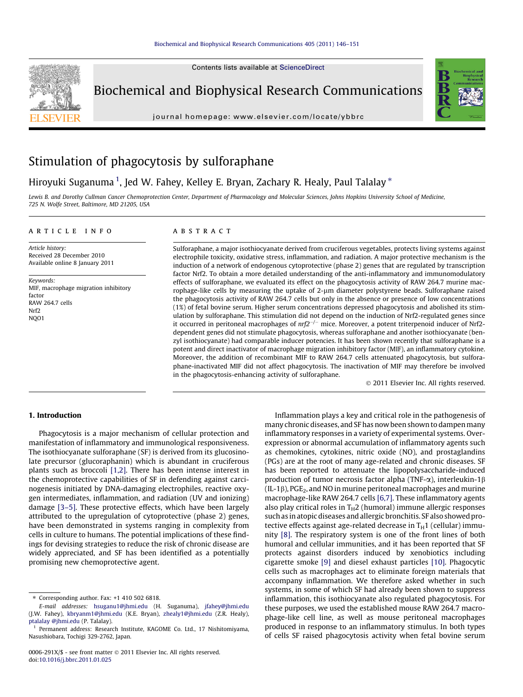Contents lists available at [ScienceDirect](http://www.sciencedirect.com/science/journal/0006291X)



Biochemical and Biophysical Research Communications

journal homepage: [www.elsevier.com/locate/ybbrc](http://www.elsevier.com/locate/ybbrc)



# Stimulation of phagocytosis by sulforaphane

## Hiroyuki Suganuma <sup>1</sup>, Jed W. Fahey, Kelley E. Bryan, Zachary R. Healy, Paul Talalay \*

Lewis B. and Dorothy Cullman Cancer Chemoprotection Center, Department of Pharmacology and Molecular Sciences, Johns Hopkins University School of Medicine, 725 N. Wolfe Street, Baltimore, MD 21205, USA

#### article info

Article history: Received 28 December 2010 Available online 8 January 2011

Keywords: MIF, macrophage migration inhibitory factor RAW 264.7 cells Nrf2 NQO1

## **ABSTRACT**

Sulforaphane, a major isothiocyanate derived from cruciferous vegetables, protects living systems against electrophile toxicity, oxidative stress, inflammation, and radiation. A major protective mechanism is the induction of a network of endogenous cytoprotective (phase 2) genes that are regulated by transcription factor Nrf2. To obtain a more detailed understanding of the anti-inflammatory and immunomodulatory effects of sulforaphane, we evaluated its effect on the phagocytosis activity of RAW 264.7 murine macrophage-like cells by measuring the uptake of 2-um diameter polystyrene beads. Sulforaphane raised the phagocytosis activity of RAW 264.7 cells but only in the absence or presence of low concentrations (1%) of fetal bovine serum. Higher serum concentrations depressed phagocytosis and abolished its stimulation by sulforaphane. This stimulation did not depend on the induction of Nrf2-regulated genes since it occurred in peritoneal macrophages of  $nrf2^{-/-}$  mice. Moreover, a potent triterpenoid inducer of Nrf2dependent genes did not stimulate phagocytosis, whereas sulforaphane and another isothiocyanate (benzyl isothiocyanate) had comparable inducer potencies. It has been shown recently that sulforaphane is a potent and direct inactivator of macrophage migration inhibitory factor (MIF), an inflammatory cytokine. Moreover, the addition of recombinant MIF to RAW 264.7 cells attenuated phagocytosis, but sulforaphane-inactivated MIF did not affect phagocytosis. The inactivation of MIF may therefore be involved in the phagocytosis-enhancing activity of sulforaphane.

- 2011 Elsevier Inc. All rights reserved.

#### 1. Introduction

Phagocytosis is a major mechanism of cellular protection and manifestation of inflammatory and immunological responsiveness. The isothiocyanate sulforaphane (SF) is derived from its glucosinolate precursor (glucoraphanin) which is abundant in cruciferous plants such as broccoli [\[1,2\]](#page-4-0). There has been intense interest in the chemoprotective capabilities of SF in defending against carcinogenesis initiated by DNA-damaging electrophiles, reactive oxygen intermediates, inflammation, and radiation (UV and ionizing) damage [\[3–5\]](#page-4-0). These protective effects, which have been largely attributed to the upregulation of cytoprotective (phase 2) genes, have been demonstrated in systems ranging in complexity from cells in culture to humans. The potential implications of these findings for devising strategies to reduce the risk of chronic disease are widely appreciated, and SF has been identified as a potentially promising new chemoprotective agent.

Inflammation plays a key and critical role in the pathogenesis of many chronic diseases, and SF has now been shown to dampen many inflammatory responses in a variety of experimental systems. Overexpression or abnormal accumulation of inflammatory agents such as chemokines, cytokines, nitric oxide (NO), and prostaglandins (PGs) are at the root of many age-related and chronic diseases. SF has been reported to attenuate the lipopolysaccharide-induced production of tumor necrosis factor alpha (TNF- $\alpha$ ), interleukin-1 $\beta$  $(IL-1\beta)$ , PGE<sub>2</sub>, and NO in murine peritoneal macrophages and murine macrophage-like RAW 264.7 cells [\[6,7\]](#page-4-0). These inflammatory agents also play critical roles in  $T_H2$  (humoral) immune allergic responses such as in atopic diseases and allergic bronchitis. SF also showed protective effects against age-related decrease in  $T_H1$  (cellular) immunity [\[8\].](#page-4-0) The respiratory system is one of the front lines of both humoral and cellular immunities, and it has been reported that SF protects against disorders induced by xenobiotics including cigarette smoke [\[9\]](#page-4-0) and diesel exhaust particles [\[10\].](#page-4-0) Phagocytic cells such as macrophages act to eliminate foreign materials that accompany inflammation. We therefore asked whether in such systems, in some of which SF had already been shown to suppress inflammation, this isothiocyanate also regulated phagocytosis. For these purposes, we used the established mouse RAW 264.7 macrophage-like cell line, as well as mouse peritoneal macrophages produced in response to an inflammatory stimulus. In both types of cells SF raised phagocytosis activity when fetal bovine serum

<sup>⇑</sup> Corresponding author. Fax: +1 410 502 6818.

E-mail addresses: [hsuganu1@jhmi.edu](mailto:hsuganu1@jhmi.edu) (H. Suganuma), [jfahey@jhmi.edu](mailto:jfahey@jhmi.edu) (J.W. Fahey), [kbryanm1@jhmi.edu](mailto:kbryanm1@jhmi.edu) (K.E. Bryan), [zhealy1@jhmi.edu](mailto:zhealy1@jhmi.edu) (Z.R. Healy), [ptalalay @jhmi.edu](mailto:ptalalay @jhmi.edu) (P. Talalay).

<sup>&</sup>lt;sup>1</sup> Permanent address: Research Institute, KAGOME Co. Ltd., 17 Nishitomiyama, Nasushiobara, Tochigi 329-2762, Japan.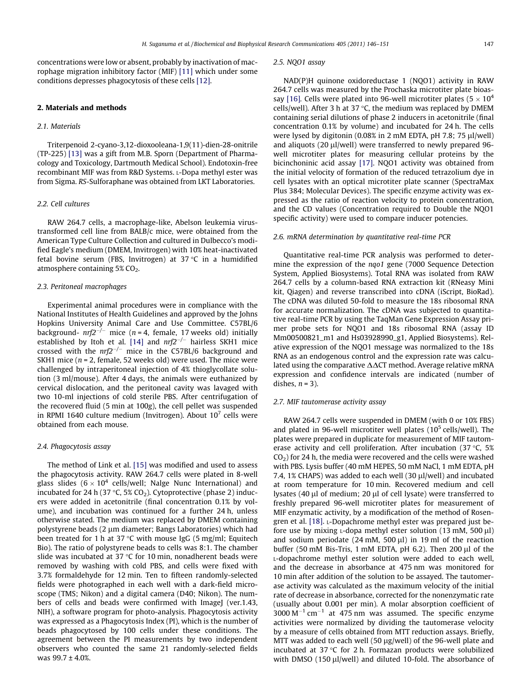concentrations were low or absent, probably by inactivation of macrophage migration inhibitory factor (MIF) [\[11\]](#page-4-0) which under some conditions depresses phagocytosis of these cells [\[12\]](#page-4-0).

## 2. Materials and methods

#### 2.1. Materials

Triterpenoid 2-cyano-3,12-dioxooleana-1,9(11)-dien-28-onitrile (TP-225) [\[13\]](#page-4-0) was a gift from M.B. Sporn (Department of Pharmacology and Toxicology, Dartmouth Medical School). Endotoxin-free recombinant MIF was from R&D Systems. L-Dopa methyl ester was from Sigma. RS-Sulforaphane was obtained from LKT Laboratories.

#### 2.2. Cell cultures

RAW 264.7 cells, a macrophage-like, Abelson leukemia virustransformed cell line from BALB/c mice, were obtained from the American Type Culture Collection and cultured in Dulbecco's modified Eagle's medium (DMEM, Invitrogen) with 10% heat-inactivated fetal bovine serum (FBS, Invitrogen) at 37  $\degree$ C in a humidified atmosphere containing  $5\%$  CO<sub>2</sub>.

#### 2.3. Peritoneal macrophages

Experimental animal procedures were in compliance with the National Institutes of Health Guidelines and approved by the Johns Hopkins University Animal Care and Use Committee. C57BL/6 background-  $nrf2^{-/-}$  mice (n = 4, female, 17 weeks old) initially established by Itoh et al. [\[14\]](#page-4-0) and  $nrf2^{-/-}$  hairless SKH1 mice crossed with the  $nrf2^{-/-}$  mice in the C57BL/6 background and SKH1 mice ( $n = 2$ , female, 52 weeks old) were used. The mice were challenged by intraperitoneal injection of 4% thioglycollate solution (3 ml/mouse). After 4 days, the animals were euthanized by cervical dislocation, and the peritoneal cavity was lavaged with two 10-ml injections of cold sterile PBS. After centrifugation of the recovered fluid (5 min at 100g), the cell pellet was suspended in RPMI 1640 culture medium (Invitrogen). About  $10<sup>7</sup>$  cells were obtained from each mouse.

#### 2.4. Phagocytosis assay

The method of Link et al. [\[15\]](#page-4-0) was modified and used to assess the phagocytosis activity. RAW 264.7 cells were plated in 8-well glass slides  $(6 \times 10^4$  cells/well; Nalge Nunc International) and incubated for 24 h (37 °C, 5%  $CO<sub>2</sub>$ ). Cytoprotective (phase 2) inducers were added in acetonitrile (final concentration 0.1% by volume), and incubation was continued for a further 24 h, unless otherwise stated. The medium was replaced by DMEM containing polystyrene beads (2 µm diameter; Bangs Laboratories) which had been treated for 1 h at 37 °C with mouse IgG (5 mg/ml; Equitech Bio). The ratio of polystyrene beads to cells was 8:1. The chamber slide was incubated at 37  $\degree$ C for 10 min, nonadherent beads were removed by washing with cold PBS, and cells were fixed with 3.7% formaldehyde for 12 min. Ten to fifteen randomly-selected fields were photographed in each well with a dark-field microscope (TMS; Nikon) and a digital camera (D40; Nikon). The numbers of cells and beads were confirmed with ImageJ (ver.1.43, NIH), a software program for photo-analysis. Phagocytosis activity was expressed as a Phagocytosis Index (PI), which is the number of beads phagocytosed by 100 cells under these conditions. The agreement between the PI measurements by two independent observers who counted the same 21 randomly-selected fields was  $99.7 \pm 4.0$ %.

#### 2.5. NQO1 assay

NAD(P)H quinone oxidoreductase 1 (NQO1) activity in RAW 264.7 cells was measured by the Prochaska microtiter plate bioas-say [\[16\]](#page-4-0). Cells were plated into 96-well microtiter plates ( $5 \times 10^4$ ) cells/well). After 3 h at 37  $\degree$ C, the medium was replaced by DMEM containing serial dilutions of phase 2 inducers in acetonitrile (final concentration 0.1% by volume) and incubated for 24 h. The cells were lysed by digitonin (0.08% in 2 mM EDTA, pH 7.8; 75 µl/well) and aliquots (20 µl/well) were transferred to newly prepared 96well microtiter plates for measuring cellular proteins by the bicinchoninic acid assay [\[17\].](#page-4-0) NQO1 activity was obtained from the initial velocity of formation of the reduced tetrazolium dye in cell lysates with an optical microtiter plate scanner (SpectraMax Plus 384; Molecular Devices). The specific enzyme activity was expressed as the ratio of reaction velocity to protein concentration, and the CD values (Concentration required to Double the NQO1 specific activity) were used to compare inducer potencies.

#### 2.6. mRNA determination by quantitative real-time PCR

Quantitative real-time PCR analysis was performed to determine the expression of the nqo1 gene (7000 Sequence Detection System, Applied Biosystems). Total RNA was isolated from RAW 264.7 cells by a column-based RNA extraction kit (RNeasy Mini kit, Qiagen) and reverse transcribed into cDNA (iScript, BioRad). The cDNA was diluted 50-fold to measure the 18s ribosomal RNA for accurate normalization. The cDNA was subjected to quantitative real-time PCR by using the TaqMan Gene Expression Assay primer probe sets for NQO1 and 18s ribosomal RNA (assay ID Mm00500821\_m1 and Hs03928990\_g1, Applied Biosystems). Relative expression of the NQO1 message was normalized to the 18s RNA as an endogenous control and the expression rate was calculated using the comparative  $\Delta\Delta$ CT method. Average relative mRNA expression and confidence intervals are indicated (number of dishes,  $n = 3$ ).

#### 2.7. MIF tautomerase activity assay

RAW 264.7 cells were suspended in DMEM (with 0 or 10% FBS) and plated in 96-well microtiter well plates  $(10^5 \text{ cells/well})$ . The plates were prepared in duplicate for measurement of MIF tautomerase activity and cell proliferation. After incubation (37 $\degree$ C, 5%  $CO<sub>2</sub>$ ) for 24 h, the media were recovered and the cells were washed with PBS. Lysis buffer (40 mM HEPES, 50 mM NaCl, 1 mM EDTA, pH 7.4, 1% CHAPS) was added to each well (30 µl/well) and incubated at room temperature for 10 min. Recovered medium and cell lysates (40  $\mu$ l of medium; 20  $\mu$ l of cell lysate) were transferred to freshly prepared 96-well microtiter plates for measurement of MIF enzymatic activity, by a modification of the method of Rosengren et al. [\[18\].](#page-4-0) L-Dopachrome methyl ester was prepared just before use by mixing  $L$ -dopa methyl ester solution (13 mM, 500  $\mu$ l) and sodium periodate (24 mM, 500  $\mu$ l) in 19 ml of the reaction buffer (50 mM Bis-Tris, 1 mM EDTA, pH 6.2). Then 200  $\mu$ l of the L-dopachrome methyl ester solution were added to each well, and the decrease in absorbance at 475 nm was monitored for 10 min after addition of the solution to be assayed. The tautomerase activity was calculated as the maximum velocity of the initial rate of decrease in absorbance, corrected for the nonenzymatic rate (usually about 0.001 per min). A molar absorption coefficient of  $3000 \, \text{M}^{-1} \, \text{cm}^{-1}$  at 475 nm was assumed. The specific enzyme activities were normalized by dividing the tautomerase velocity by a measure of cells obtained from MTT reduction assays. Briefly, MTT was added to each well (50  $\mu$ g/well) of the 96-well plate and incubated at 37 $\degree$ C for 2 h. Formazan products were solubilized with DMSO (150  $\mu$ l/well) and diluted 10-fold. The absorbance of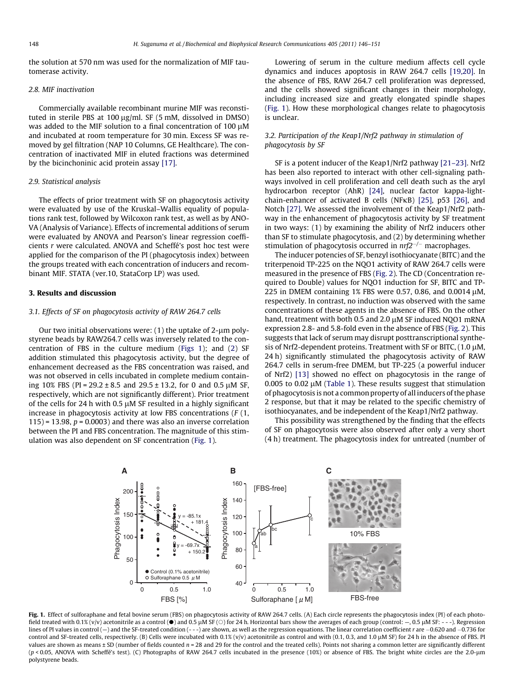the solution at 570 nm was used for the normalization of MIF tautomerase activity.

#### 2.8. MIF inactivation

Commercially available recombinant murine MIF was reconstituted in sterile PBS at 100 µg/ml. SF (5 mM, dissolved in DMSO) was added to the MIF solution to a final concentration of 100  $\mu$ M and incubated at room temperature for 30 min. Excess SF was removed by gel filtration (NAP 10 Columns, GE Healthcare). The concentration of inactivated MIF in eluted fractions was determined by the bicinchoninic acid protein assay [\[17\].](#page-4-0)

#### 2.9. Statistical analysis

The effects of prior treatment with SF on phagocytosis activity were evaluated by use of the Kruskal–Wallis equality of populations rank test, followed by Wilcoxon rank test, as well as by ANO-VA (Analysis of Variance). Effects of incremental additions of serum were evaluated by ANOVA and Pearson's linear regression coefficients r were calculated. ANOVA and Scheffé's post hoc test were applied for the comparison of the PI (phagocytosis index) between the groups treated with each concentration of inducers and recombinant MIF. STATA (ver.10, StataCorp LP) was used.

#### 3. Results and discussion

#### 3.1. Effects of SF on phagocytosis activity of RAW 264.7 cells

Our two initial observations were:  $(1)$  the uptake of 2- $\mu$ m polystyrene beads by RAW264.7 cells was inversely related to the concentration of FBS in the culture medium (Figs 1); and ([2\)](#page-3-0) SF addition stimulated this phagocytosis activity, but the degree of enhancement decreased as the FBS concentration was raised, and was not observed in cells incubated in complete medium containing 10% FBS (PI = 29.2  $\pm$  8.5 and 29.5  $\pm$  13.2, for 0 and 0.5  $\mu$ M SF, respectively, which are not significantly different). Prior treatment of the cells for 24 h with 0.5  $\mu$ M SF resulted in a highly significant increase in phagocytosis activity at low FBS concentrations (F (1,  $115$  = 13.98,  $p = 0.0003$ ) and there was also an inverse correlation between the PI and FBS concentration. The magnitude of this stimulation was also dependent on SF concentration (Fig. 1).

Lowering of serum in the culture medium affects cell cycle dynamics and induces apoptosis in RAW 264.7 cells [\[19,20\]](#page-4-0). In the absence of FBS, RAW 264.7 cell proliferation was depressed, and the cells showed significant changes in their morphology, including increased size and greatly elongated spindle shapes (Fig. 1). How these morphological changes relate to phagocytosis is unclear.

#### 3.2. Participation of the Keap1/Nrf2 pathway in stimulation of phagocytosis by SF

SF is a potent inducer of the Keap1/Nrf2 pathway [\[21–23\].](#page-5-0) Nrf2 has been also reported to interact with other cell-signaling pathways involved in cell proliferation and cell death such as the aryl hydrocarbon receptor (AhR) [\[24\]](#page-5-0), nuclear factor kappa-lightchain-enhancer of activated B cells (NF $\kappa$ B) [\[25\]](#page-5-0), p53 [\[26\],](#page-5-0) and Notch [\[27\]](#page-5-0). We assessed the involvement of the Keap1/Nrf2 pathway in the enhancement of phagocytosis activity by SF treatment in two ways: (1) by examining the ability of Nrf2 inducers other than SF to stimulate phagocytosis, and (2) by determining whether stimulation of phagocytosis occurred in  $nrf2^{-/-}$  macrophages.

The inducer potencies of SF, benzyl isothiocyanate (BITC) and the triterpenoid TP-225 on the NQO1 activity of RAW 264.7 cells were measured in the presence of FBS ([Fig. 2\)](#page-3-0). The CD (Concentration required to Double) values for NQO1 induction for SF, BITC and TP-225 in DMEM containing 1% FBS were 0.57, 0.86, and 0.0014  $\mu$ M, respectively. In contrast, no induction was observed with the same concentrations of these agents in the absence of FBS. On the other hand, treatment with both 0.5 and 2.0  $\mu$ M SF induced NQO1 mRNA expression 2.8- and 5.8-fold even in the absence of FBS ([Fig. 2](#page-3-0)). This suggests that lack of serum may disrupt posttranscriptional synthesis of Nrf2-dependent proteins. Treatment with SF or BITC,  $(1.0 \mu M,$ 24 h) significantly stimulated the phagocytosis activity of RAW 264.7 cells in serum-free DMEM, but TP-225 (a powerful inducer of Nrf2) [\[13\]](#page-4-0) showed no effect on phagocytosis in the range of 0.005 to 0.02  $\mu$ M [\(Table 1](#page-3-0)). These results suggest that stimulation of phagocytosis is not a common property of all inducers of the phase 2 response, but that it may be related to the specific chemistry of isothiocyanates, and be independent of the Keap1/Nrf2 pathway.

This possibility was strengthened by the finding that the effects of SF on phagocytosis were also observed after only a very short (4 h) treatment. The phagocytosis index for untreated (number of



Fig. 1. Effect of sulforaphane and fetal bovine serum (FBS) on phagocytosis activity of RAW 264.7 cells. (A) Each circle represents the phagocytosis index (PI) of each photofield treated with 0.1% (v/v) acetonitrile as a control ( $\bullet$ ) and 0.5 µM SF ( $\circ$ ) for 24 h. Horizontal bars show the averages of each group (control: -, 0.5 µM SF: - - -). Regression lines of PI values in control (–) and the SF-treated condition (- - -) are shown, as well as the regression equations. The linear correlation coefficient r are –0.620 and –0.736 for control and SF-treated cells, respectively. (B) Cells were incubated with 0.1% (v/v) acetonitrile as control and with (0.1, 0.3, and 1.0  $\mu$ M SF) for 24 h in the absence of FBS. PI values are shown as means ± SD (number of fields counted n = 28 and 29 for the control and the treated cells). Points not sharing a common letter are significantly different (p < 0.05, ANOVA with Scheffé's test). (C) Photographs of RAW 264.7 cells incubated in the presence (10%) or absence of FBS. The bright white circles are the 2.0-lm polystyrene beads.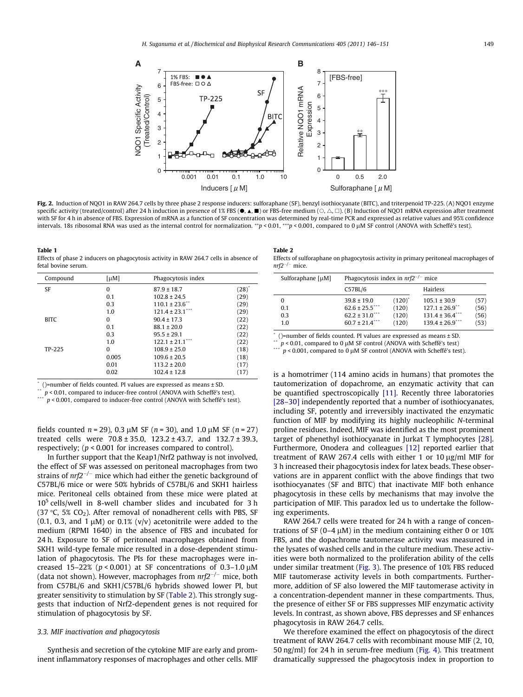<span id="page-3-0"></span>

Fig. 2. Induction of NQO1 in RAW 264.7 cells by three phase 2 response inducers: sulforaphane (SF), benzyl isothiocyanate (BITC), and triterpenoid TP-225. (A) NQO1 enzyme specific activity (treated/control) after 24 h induction in presence of 1% FBS ( $\bullet$ ,  $\bullet$ ,  $\bullet$ ) or FBS-free medium ( $\circ$ ,  $\triangle$ ,  $\Box$ ). (B) Induction of NQO1 mRNA expression after treatment with SF for 4 h in absence of FBS. Expression of mRNA as a function of SF concentration was determined by real-time PCR and expressed as relative values and 95% confidence intervals. 18s ribosomal RNA was used as the internal control for normalization. \*\*p < 0.01,\*\*\*p < 0.001, compared to 0 µM SF control (ANOVA with Scheffé's test).

Table 1 Effects of phase 2 inducers on phagocytosis activity in RAW 264.7 cells in absence of fetal bovine serum.

| Compound    | $[\mu M]$ | Phagocytosis index   |                   |
|-------------|-----------|----------------------|-------------------|
| <b>SF</b>   | 0         | $87.9 \pm 18.7$      | $(28)^{^{\circ}}$ |
|             | 0.1       | $102.8 \pm 24.5$     | (29)              |
|             | 0.3       | $110.1 \pm 23.6$     | (29)              |
|             | 1.0       | $121.4 \pm 23.1$ *** | (29)              |
| <b>BITC</b> | 0         | $90.4 \pm 17.3$      | (22)              |
|             | 0.1       | $88.1 \pm 20.0$      | (22)              |
|             | 0.3       | $95.5 \pm 29.1$      | (22)              |
|             | 1.0       | $122.1 \pm 21.1$ *** | (22)              |
| TP-225      | 0         | $108.9 \pm 25.0$     | (18)              |
|             | 0.005     | $109.6 \pm 20.5$     | (18)              |
|             | 0.01      | $113.2 \pm 20.0$     | (17)              |
|             | 0.02      | $102.4 \pm 12.8$     | (17)              |

\* ()=number of fields counted. PI values are expressed as means ± SD.

\*\*  $p < 0.01$ , compared to inducer-free control (ANOVA with Scheffé's test).

 $p < 0.001$ , compared to inducer-free control (ANOVA with Scheffé's test).

fields counted  $n = 29$ ), 0.3  $\mu$ M SF (n = 30), and 1.0  $\mu$ M SF (n = 27) treated cells were  $70.8 \pm 35.0$ ,  $123.2 \pm 43.7$ , and  $132.7 \pm 39.3$ , respectively; (p < 0.001 for increases compared to control).

In further support that the Keap1/Nrf2 pathway is not involved, the effect of SF was assessed on peritoneal macrophages from two strains of  $nrf2^{-/-}$  mice which had either the genetic background of C57BL/6 mice or were 50% hybrids of C57BL/6 and SKH1 hairless mice. Peritoneal cells obtained from these mice were plated at  $10<sup>5</sup>$  cells/well in 8-well chamber slides and incubated for 3 h (37 °C, 5% CO<sub>2</sub>). After removal of nonadherent cells with PBS, SF (0.1, 0.3, and 1  $\mu$ M) or 0.1% (v/v) acetonitrile were added to the medium (RPMI 1640) in the absence of FBS and incubated for 24 h. Exposure to SF of peritoneal macrophages obtained from SKH1 wild-type female mice resulted in a dose-dependent stimulation of phagocytosis. The PIs for these macrophages were increased 15–22% ( $p < 0.001$ ) at SF concentrations of 0.3–1.0 µM (data not shown). However, macrophages from  $n r f 2^{-/-}$  mice, both from C57BL/6 and SKH1/C57BL/6 hybrids showed lower PI, but greater sensitivity to stimulation by SF (Table 2). This strongly suggests that induction of Nrf2-dependent genes is not required for stimulation of phagocytosis by SF.

#### 3.3. MIF inactivation and phagocytosis

Synthesis and secretion of the cytokine MIF are early and prominent inflammatory responses of macrophages and other cells. MIF

#### Table 2

Effects of sulforaphane on phagocytosis activity in primary peritoneal macrophages of  $nrf2^{-/-}$  mice.

| Sulforaphane $\lceil \mu M \rceil$ | Phagocytosis index in $nrf2^{-/-}$ mice |             |                                |      |
|------------------------------------|-----------------------------------------|-------------|--------------------------------|------|
|                                    | C57BL/6                                 |             | Hairless                       |      |
| 0                                  | $39.8 \pm 19.0$                         | $(120)^{*}$ | $105.1 \pm 30.9$               | (57) |
| 0.1                                | $62.6 \pm 25.5$ ***                     | (120)       | $127.1 \pm 26.9$ <sup>**</sup> | (56) |
| 0.3                                | $62.2 \pm 31.0$ <sup>****</sup>         | (120)       | $131.4 \pm 36.4$ ***           | (56) |
| 1.0                                | $60.7 \pm 21.4$ <sup>***</sup>          | (120)       | $139.4 \pm 26.9$ ***           | (53) |

 $*$  ()=number of fields counted. PI values are expressed as means  $\pm$  SD.

 $p < 0.01$ , compared to 0 µM SF control (ANOVA with Scheffé's test)

 $p < 0.001$ , compared to 0 µM SF control (ANOVA with Scheffé's test).

is a homotrimer (114 amino acids in humans) that promotes the tautomerization of dopachrome, an enzymatic activity that can be quantified spectroscopically [\[11\]](#page-4-0). Recently three laboratories [\[28–30\]](#page-5-0) independently reported that a number of isothiocyanates, including SF, potently and irreversibly inactivated the enzymatic function of MIF by modifying its highly nucleophilic N-terminal proline residues. Indeed, MIF was identified as the most prominent target of phenethyl isothiocyanate in Jurkat T lymphocytes [\[28\].](#page-5-0) Furthermore, Onodera and colleagues [\[12\]](#page-4-0) reported earlier that treatment of RAW 267.4 cells with either 1 or 10  $\mu$ g/ml MIF for 3 h increased their phagocytosis index for latex beads. These observations are in apparent conflict with the above findings that two isothiocyanates (SF and BITC) that inactivate MIF both enhance phagocytosis in these cells by mechanisms that may involve the participation of MIF. This paradox led us to undertake the following experiments.

RAW 264.7 cells were treated for 24 h with a range of concentrations of SF (0–4  $\mu$ M) in the medium containing either 0 or 10% FBS, and the dopachrome tautomerase activity was measured in the lysates of washed cells and in the culture medium. These activities were both normalized to the proliferation ability of the cells under similar treatment ([Fig. 3](#page-4-0)). The presence of 10% FBS reduced MIF tautomerase activity levels in both compartments. Furthermore, addition of SF also lowered the MIF tautomerase activity in a concentration-dependent manner in these compartments. Thus, the presence of either SF or FBS suppresses MIF enzymatic activity levels. In contrast, as shown above, FBS depresses and SF enhances phagocytosis in RAW 264.7 cells.

We therefore examined the effect on phagocytosis of the direct treatment of RAW 264.7 cells with recombinant mouse MIF (2, 10, 50 ng/ml) for 24 h in serum-free medium [\(Fig. 4](#page-4-0)). This treatment dramatically suppressed the phagocytosis index in proportion to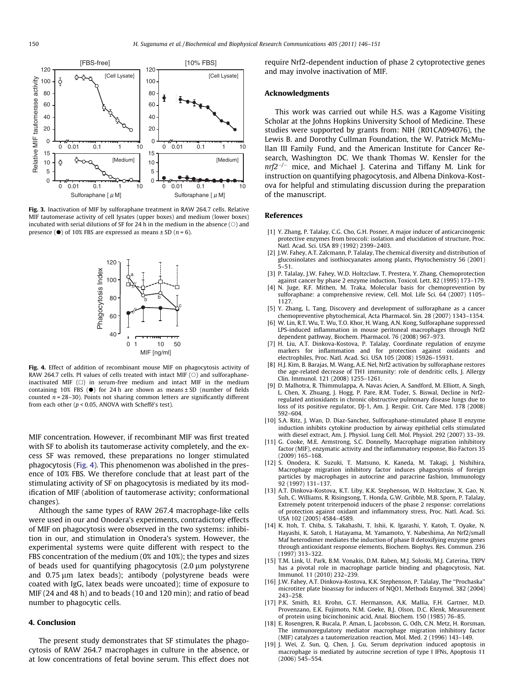<span id="page-4-0"></span>

Fig. 3. Inactivation of MIF by sulforaphane treatment in RAW 264.7 cells. Relative MIF tautomerase activity of cell lysates (upper boxes) and medium (lower boxes) incubated with serial dilutions of SF for 24 h in the medium in the absence  $(\bigcirc)$  and presence ( $\bullet$ ) of 10% FBS are expressed as means  $\pm$  SD ( $n = 6$ ).



Fig. 4. Effect of addition of recombinant mouse MIF on phagocytosis activity of RAW 264.7 cells. PI values of cells treated with intact MIF  $(\circ)$  and sulforaphaneinactivated MIF  $(\Box)$  in serum-free medium and intact MIF in the medium containing 10% FBS  $(\bullet)$  for 24 h are shown as means  $\pm$  SD (number of fields counted  $n = 28-30$ ). Points not sharing common letters are significantly different from each other ( $p < 0.05$ , ANOVA with Scheffé's test).

MIF concentration. However, if recombinant MIF was first treated with SF to abolish its tautomerase activity completely, and the excess SF was removed, these preparations no longer stimulated phagocytosis (Fig. 4). This phenomenon was abolished in the presence of 10% FBS. We therefore conclude that at least part of the stimulating activity of SF on phagocytosis is mediated by its modification of MIF (abolition of tautomerase activity; conformational changes).

Although the same types of RAW 267.4 macrophage-like cells were used in our and Onodera's experiments, contradictory effects of MIF on phagocytosis were observed in the two systems: inhibition in our, and stimulation in Onodera's system. However, the experimental systems were quite different with respect to the FBS concentration of the medium (0% and 10%); the types and sizes of beads used for quantifying phagocytosis  $(2.0 \mu m)$  polystyrene and  $0.75 \mu m$  latex beads); antibody (polystyrene beads were coated with IgG, latex beads were uncoated); time of exposure to MIF (24 and 48 h) and to beads (10 and 120 min); and ratio of bead number to phagocytic cells.

### 4. Conclusion

The present study demonstrates that SF stimulates the phagocytosis of RAW 264.7 macrophages in culture in the absence, or at low concentrations of fetal bovine serum. This effect does not require Nrf2-dependent induction of phase 2 cytoprotective genes and may involve inactivation of MIF.

#### Acknowledgments

This work was carried out while H.S. was a Kagome Visiting Scholar at the Johns Hopkins University School of Medicine. These studies were supported by grants from: NIH (R01CA094076), the Lewis B. and Dorothy Cullman Foundation, the W. Patrick McMullan III Family Fund, and the American Institute for Cancer Research, Washington DC. We thank Thomas W. Kensler for the  $nrf2^{-/-}$  mice, and Michael J. Caterina and Tiffany M. Link for instruction on quantifying phagocytosis, and Albena Dinkova-Kostova for helpful and stimulating discussion during the preparation of the manuscript.

#### References

- [1] Y. Zhang, P. Talalay, C.G. Cho, G.H. Posner, A major inducer of anticarcinogenic protective enzymes from broccoli: isolation and elucidation of structure, Proc. Natl. Acad. Sci. USA 89 (1992) 2399–2403.
- [2] J.W. Fahey, A.T. Zalcmann, P. Talalay, The chemical diversity and distribution of glucosinolates and isothiocyanates among plants, Phytochemistry 56 (2001) 5–51.
- [3] P. Talalay, J.W. Fahey, W.D. Holtzclaw, T. Prestera, Y. Zhang, Chemoprotection against cancer by phase 2 enzyme induction, Toxicol. Lett. 82 (1995) 173–179.
- [4] N. Juge, R.F. Mithen, M. Traka, Molecular basis for chemoprevention by sulforaphane: a comprehensive review, Cell. Mol. Life Sci. 64 (2007) 1105– 1127.
- [5] Y. Zhang, L. Tang, Discovery and development of sulforaphane as a cancer chemopreventive phytochemical, Acta Pharmacol. Sin. 28 (2007) 1343–1354.
- [6] W. Lin, R.T. Wu, T. Wu, T.O. Khor, H. Wang, A.N. Kong, Sulforaphane suppressed LPS-induced inflammation in mouse peritoneal macrophages through Nrf2 dependent pathway, Biochem. Pharmacol. 76 (2008) 967–973.
- [7] H. Liu, A.T. Dinkova-Kostova, P. Talalay, Coordinate regulation of enzyme markers for inflammation and for protection against oxidants and electrophiles, Proc. Natl. Acad. Sci. USA 105 (2008) 15926–15931.
- [8] H.J. Kim, B. Barajas, M. Wang, A.E. Nel, Nrf2 activation by sulforaphane restores the age-related decrease of TH1 immunity: role of dendritic cells, J. Allergy Clin. Immunol. 121 (2008) 1255–1261.
- [9] D. Malhotra, R. Thimmulappa, A. Navas Acien, A. Sandford, M. Elliott, A. Singh, L. Chen, X. Zhuang, J. Hogg, P. Pare, R.M. Tuder, S. Biswal, Decline in Nrf2 regulated antioxidants in chronic obstructive pulmonary disease lungs due to loss of its positive regulator, DJ-1, Am. J. Respir. Crit. Care Med. 178 (2008) 592–604.
- [10] S.A. Ritz, J. Wan, D. Diaz-Sanchez, Sulforaphane-stimulated phase II enzyme induction inhibits cytokine production by airway epithelial cells stimulated with diesel extract, Am. J. Physiol. Lung Cell. Mol. Physiol. 292 (2007) 33–39.
- [11] G. Cooke, M.E. Armstrong, S.C. Donnelly, Macrophage migration inhibitory factor (MIF), enzymatic activity and the inflammatory response, Bio Factors 35 (2009) 165–168.
- [12] S. Onodera, K. Suzuki, T. Matsuno, K. Kaneda, M. Takagi, J. Nishihira, Macrophage migration inhibitory factor induces phagocytosis of foreign particles by macrophages in autocrine and paracrine fashion, Immunology 92 (1997) 131–137.
- [13] A.T. Dinkova-Kostova, K.T. Liby, K.K. Stephenson, W.D. Holtzclaw, X. Gao, N. Suh, C. Williams, R. Risingsong, T. Honda, G.W. Gribble, M.B. Sporn, P. Talalay, Extremely potent triterpenoid inducers of the phase 2 response: correlations of protection against oxidant and inflammatory stress, Proc. Natl. Acad. Sci. USA 102 (2005) 4584–4589.
- [14] K. Itoh, T. Chiba, S. Takahashi, T. Ishii, K. Igarashi, Y. Katoh, T. Oyake, N. Hayashi, K. Satoh, I. Hatayama, M. Yamamoto, Y. Nabeshima, An Nrf2/small Maf heterodimer mediates the induction of phase II detoxifying enzyme genes through antioxidant response elements, Biochem. Biophys. Res. Commun. 236 (1997) 313–322.
- [15] T.M. Link, U. Park, B.M. Vonakis, D.M. Raben, M.J. Soloski, M.J. Caterina, TRPV has a pivotal role in macrophage particle binding and phagocytosis, Nat. Immunol. 11 (2010) 232–239.
- [16] J.W. Fahey, A.T. Dinkova-Kostova, K.K. Stephenson, P. Talalay, The ''Prochaska'' microtiter plate bioassay for inducers of NQO1, Methods Enzymol. 382 (2004) 243–258.
- [17] P.K. Smith, R.I. Krohn, G.T. Hermanson, A.K. Mallia, F.H. Gartner, M.D. Provenzano, E.K. Fujimoto, N.M. Goeke, B.J. Olson, D.C. Klenk, Measurement of protein using bicinchoninic acid, Anal. Biochem. 150 (1985) 76–85.
- [18] E. Rosengren, R. Bucala, P. Aman, L. Jacobsson, G. Odh, C.N. Metz, H. Rorsman, The immunoregulatory mediator macrophage migration inhibitory factor (MIF) catalyzes a tautomerization reaction, Mol. Med. 2 (1996) 143–149.
- [19] J. Wei, Z. Sun, Q. Chen, J. Gu, Serum deprivation induced apoptosis in macrophage is mediated by autocrine secretion of type I IFNs, Apoptosis 11 (2006) 545–554.